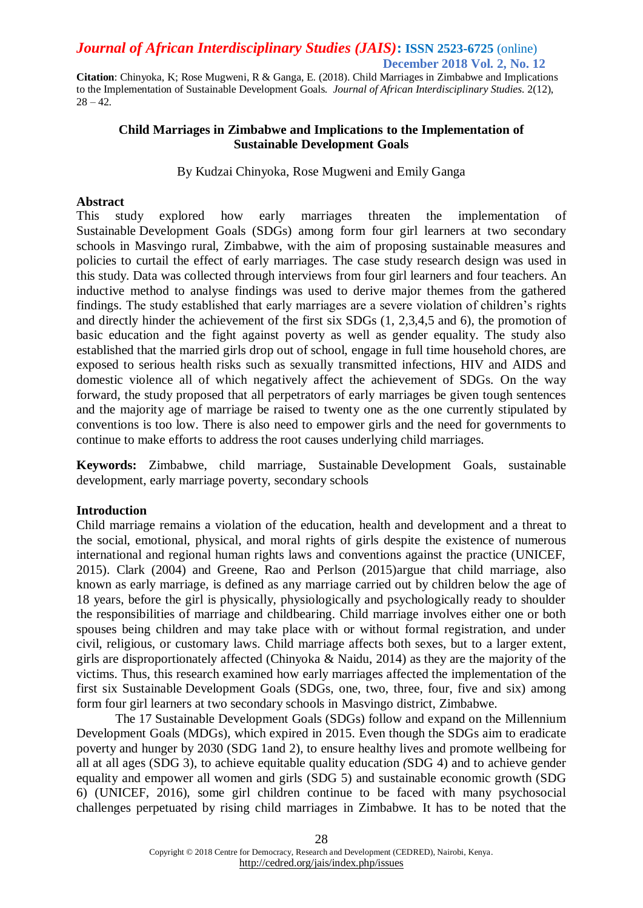**Citation**: Chinyoka, K; Rose Mugweni, R & Ganga, E. (2018). Child Marriages in Zimbabwe and Implications to the Implementation of Sustainable Development Goals. *Journal of African Interdisciplinary Studies.* 2(12),  $28 - 42.$ 

### **Child Marriages in Zimbabwe and Implications to the Implementation of Sustainable Development Goals**

By Kudzai Chinyoka, Rose Mugweni and Emily Ganga

#### **Abstract**

This study explored how early marriages threaten the implementation of Sustainable Development Goals (SDGs) among form four girl learners at two secondary schools in Masvingo rural, Zimbabwe, with the aim of proposing sustainable measures and policies to curtail the effect of early marriages. The case study research design was used in this study. Data was collected through interviews from four girl learners and four teachers. An inductive method to analyse findings was used to derive major themes from the gathered findings. The study established that early marriages are a severe violation of children's rights and directly hinder the achievement of the first six SDGs (1, 2,3,4,5 and 6), the promotion of basic education and the fight against poverty as well as gender equality. The study also established that the married girls drop out of school, engage in full time household chores, are exposed to serious health risks such as sexually transmitted infections, HIV and AIDS and domestic violence all of which negatively affect the achievement of SDGs. On the way forward, the study proposed that all perpetrators of early marriages be given tough sentences and the majority age of marriage be raised to twenty one as the one currently stipulated by conventions is too low. There is also need to empower girls and the need for governments to continue to make efforts to address the root causes underlying child marriages.

**Keywords:** Zimbabwe, child marriage, Sustainable Development Goals, sustainable development, early marriage poverty, secondary schools

#### **Introduction**

Child marriage remains a violation of the education, health and development and a threat to the social, emotional, physical, and moral rights of girls despite the existence of numerous international and regional human rights laws and conventions against the practice (UNICEF, 2015). Clark (2004) and Greene, Rao and Perlson (2015)argue that child marriage, also known as early marriage, is defined as any marriage carried out by children below the age of 18 years, before the girl is physically, physiologically and psychologically ready to shoulder the responsibilities of marriage and childbearing. Child marriage involves either one or both spouses being children and may take place with or without formal registration, and under civil, religious, or customary laws. Child marriage affects both sexes, but to a larger extent, girls are disproportionately affected (Chinyoka & Naidu, 2014) as they are the majority of the victims. Thus, this research examined how early marriages affected the implementation of the first six Sustainable Development Goals (SDGs, one, two, three, four, five and six) among form four girl learners at two secondary schools in Masvingo district, Zimbabwe.

The 17 Sustainable Development Goals (SDGs) follow and expand on the Millennium Development Goals (MDGs), which expired in 2015. Even though the SDGs aim to eradicate poverty and hunger by 2030 (SDG 1and 2), to ensure healthy lives and promote wellbeing for all at all ages (SDG 3), to achieve equitable quality education *(*SDG 4) and to achieve gender equality and empower all women and girls (SDG 5) and sustainable economic growth (SDG 6) (UNICEF, 2016), some girl children continue to be faced with many psychosocial challenges perpetuated by rising child marriages in Zimbabwe*.* It has to be noted that the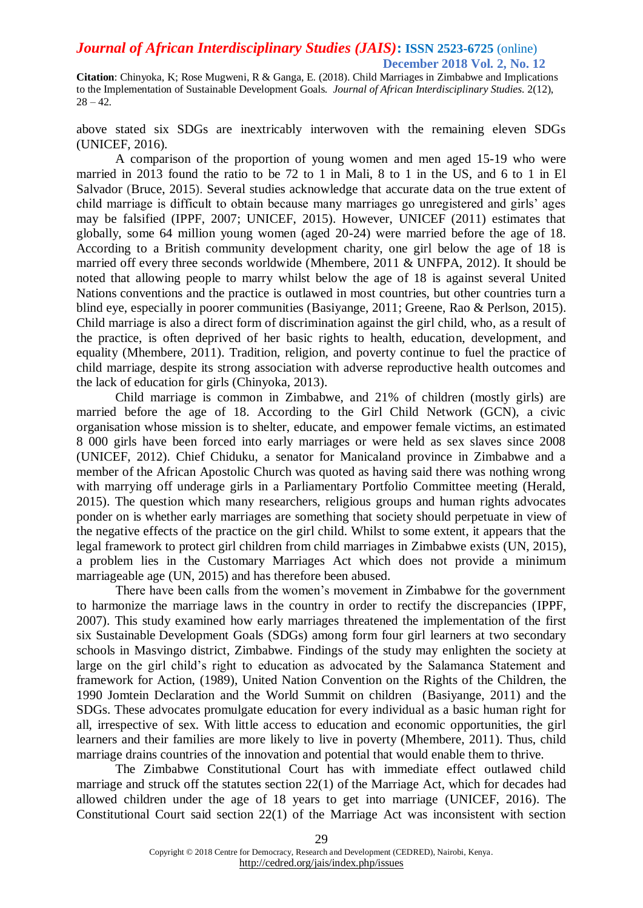**Citation**: Chinyoka, K; Rose Mugweni, R & Ganga, E. (2018). Child Marriages in Zimbabwe and Implications to the Implementation of Sustainable Development Goals. *Journal of African Interdisciplinary Studies.* 2(12),  $28 - 42.$ 

above stated six SDGs are inextricably interwoven with the remaining eleven SDGs (UNICEF, 2016).

A comparison of the proportion of young women and men aged 15-19 who were married in 2013 found the ratio to be 72 to 1 in Mali, 8 to 1 in the US, and 6 to 1 in El Salvador (Bruce, 2015). Several studies acknowledge that accurate data on the true extent of child marriage is difficult to obtain because many marriages go unregistered and girls' ages may be falsified (IPPF, 2007; UNICEF, 2015). However, UNICEF (2011) estimates that globally, some 64 million young women (aged 20-24) were married before the age of 18. According to a British community development charity, one girl below the age of 18 is married off every three seconds worldwide (Mhembere, 2011 & UNFPA, 2012). It should be noted that allowing people to marry whilst below the age of 18 is against several United Nations conventions and the practice is outlawed in most countries, but other countries turn a blind eye, especially in poorer communities (Basiyange, 2011; Greene, Rao & Perlson, 2015). Child marriage is also a direct form of discrimination against the girl child, who, as a result of the practice, is often deprived of her basic rights to health, education, development, and equality (Mhembere, 2011). Tradition, religion, and poverty continue to fuel the practice of child marriage, despite its strong association with adverse reproductive health outcomes and the lack of education for girls (Chinyoka, 2013).

Child marriage is common in Zimbabwe, and 21% of children (mostly girls) are married before the age of 18. According to the Girl Child Network (GCN), a civic organisation whose mission is to shelter, educate, and empower female victims, an estimated 8 000 girls have been forced into early marriages or were held as sex slaves since 2008 (UNICEF, 2012). Chief Chiduku, a senator for Manicaland province in Zimbabwe and a member of the African Apostolic Church was quoted as having said there was nothing wrong with marrying off underage girls in a Parliamentary Portfolio Committee meeting (Herald, 2015). The question which many researchers, religious groups and human rights advocates ponder on is whether early marriages are something that society should perpetuate in view of the negative effects of the practice on the girl child. Whilst to some extent, it appears that the legal framework to protect girl children from child marriages in Zimbabwe exists (UN, 2015), a problem lies in the Customary Marriages Act which does not provide a minimum marriageable age (UN, 2015) and has therefore been abused.

There have been calls from the women's movement in Zimbabwe for the government to harmonize the marriage laws in the country in order to rectify the discrepancies (IPPF, 2007). This study examined how early marriages threatened the implementation of the first six Sustainable Development Goals (SDGs) among form four girl learners at two secondary schools in Masvingo district, Zimbabwe. Findings of the study may enlighten the society at large on the girl child's right to education as advocated by the Salamanca Statement and framework for Action, (1989), United Nation Convention on the Rights of the Children, the 1990 Jomtein Declaration and the World Summit on children (Basiyange, 2011) and the SDGs. These advocates promulgate education for every individual as a basic human right for all, irrespective of sex. With little access to education and economic opportunities, the girl learners and their families are more likely to live in poverty (Mhembere, 2011). Thus, child marriage drains countries of the innovation and potential that would enable them to thrive.

The Zimbabwe Constitutional Court has with immediate effect outlawed child marriage and struck off the statutes section 22(1) of the Marriage Act, which for decades had allowed children under the age of 18 years to get into marriage (UNICEF, 2016). The Constitutional Court said section 22(1) of the Marriage Act was inconsistent with section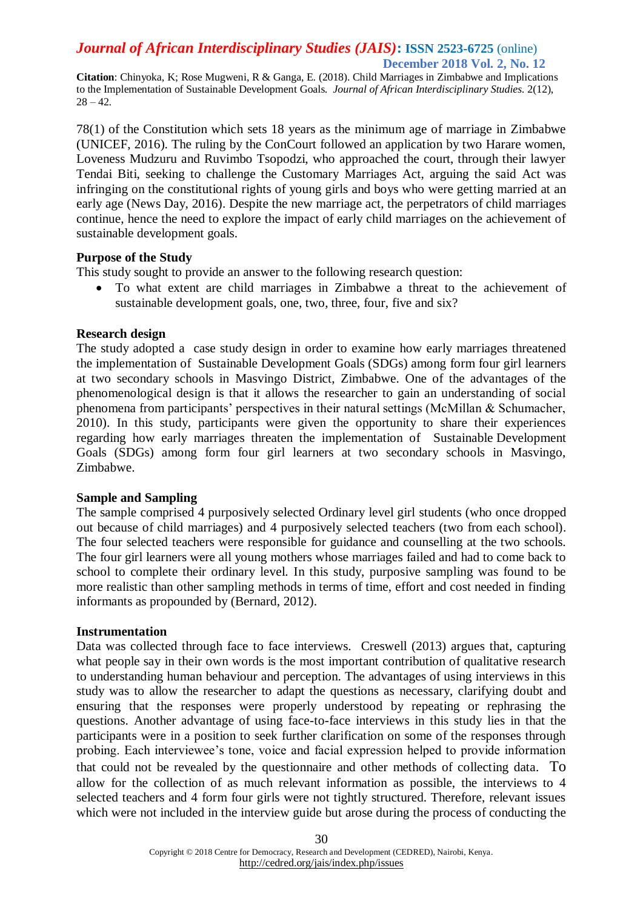**Citation**: Chinyoka, K; Rose Mugweni, R & Ganga, E. (2018). Child Marriages in Zimbabwe and Implications to the Implementation of Sustainable Development Goals. *Journal of African Interdisciplinary Studies.* 2(12),  $28 - 42.$ 

78(1) of the Constitution which sets 18 years as the minimum age of marriage in Zimbabwe (UNICEF, 2016). The ruling by the ConCourt followed an application by two Harare women, Loveness Mudzuru and Ruvimbo Tsopodzi, who approached the court, through their lawyer Tendai Biti, seeking to challenge the Customary Marriages Act, arguing the said Act was infringing on the constitutional rights of young girls and boys who were getting married at an early age (News Day, 2016). Despite the new marriage act, the perpetrators of child marriages continue, hence the need to explore the impact of early child marriages on the achievement of sustainable development goals.

### **Purpose of the Study**

This study sought to provide an answer to the following research question:

 To what extent are child marriages in Zimbabwe a threat to the achievement of sustainable development goals, one, two, three, four, five and six?

### **Research design**

The study adopted a case study design in order to examine how early marriages threatened the implementation of Sustainable Development Goals (SDGs) among form four girl learners at two secondary schools in Masvingo District, Zimbabwe. One of the advantages of the phenomenological design is that it allows the researcher to gain an understanding of social phenomena from participants' perspectives in their natural settings (McMillan & Schumacher, 2010). In this study, participants were given the opportunity to share their experiences regarding how early marriages threaten the implementation of Sustainable Development Goals (SDGs) among form four girl learners at two secondary schools in Masvingo, Zimbabwe.

### **Sample and Sampling**

The sample comprised 4 purposively selected Ordinary level girl students (who once dropped out because of child marriages) and 4 purposively selected teachers (two from each school). The four selected teachers were responsible for guidance and counselling at the two schools. The four girl learners were all young mothers whose marriages failed and had to come back to school to complete their ordinary level. In this study, purposive sampling was found to be more realistic than other sampling methods in terms of time, effort and cost needed in finding informants as propounded by (Bernard, 2012).

### **Instrumentation**

Data was collected through face to face interviews. Creswell (2013) argues that, capturing what people say in their own words is the most important contribution of qualitative research to understanding human behaviour and perception. The advantages of using interviews in this study was to allow the researcher to adapt the questions as necessary, clarifying doubt and ensuring that the responses were properly understood by repeating or rephrasing the questions. Another advantage of using face-to-face interviews in this study lies in that the participants were in a position to seek further clarification on some of the responses through probing. Each interviewee's tone, voice and facial expression helped to provide information that could not be revealed by the questionnaire and other methods of collecting data. To allow for the collection of as much relevant information as possible, the interviews to 4 selected teachers and 4 form four girls were not tightly structured. Therefore, relevant issues which were not included in the interview guide but arose during the process of conducting the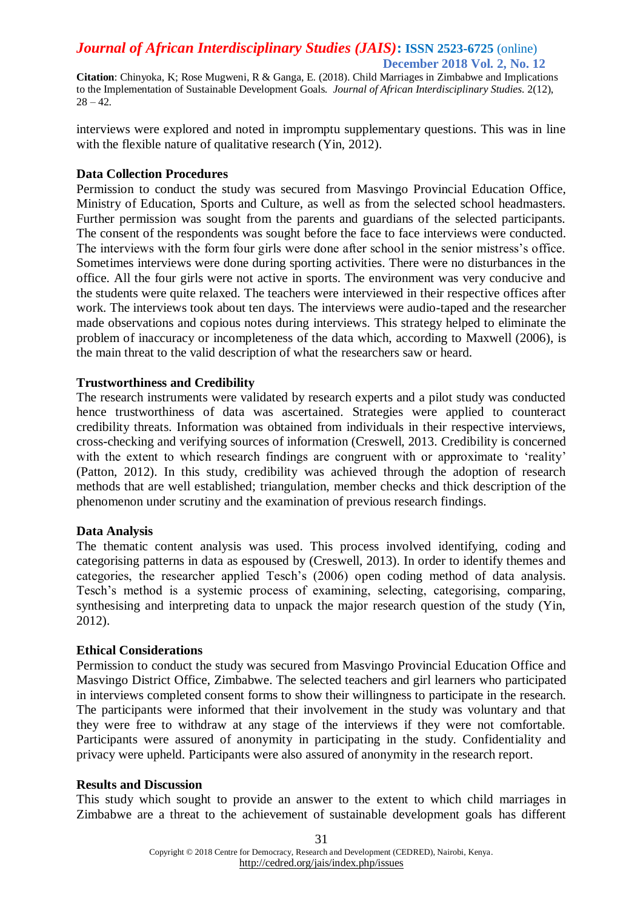**Citation**: Chinyoka, K; Rose Mugweni, R & Ganga, E. (2018). Child Marriages in Zimbabwe and Implications to the Implementation of Sustainable Development Goals. *Journal of African Interdisciplinary Studies.* 2(12),  $28 - 42.$ 

interviews were explored and noted in impromptu supplementary questions. This was in line with the flexible nature of qualitative research (Yin, 2012).

#### **Data Collection Procedures**

Permission to conduct the study was secured from Masvingo Provincial Education Office, Ministry of Education, Sports and Culture, as well as from the selected school headmasters. Further permission was sought from the parents and guardians of the selected participants. The consent of the respondents was sought before the face to face interviews were conducted. The interviews with the form four girls were done after school in the senior mistress's office. Sometimes interviews were done during sporting activities. There were no disturbances in the office. All the four girls were not active in sports. The environment was very conducive and the students were quite relaxed. The teachers were interviewed in their respective offices after work. The interviews took about ten days. The interviews were audio-taped and the researcher made observations and copious notes during interviews. This strategy helped to eliminate the problem of inaccuracy or incompleteness of the data which, according to Maxwell (2006), is the main threat to the valid description of what the researchers saw or heard.

### **Trustworthiness and Credibility**

The research instruments were validated by research experts and a pilot study was conducted hence trustworthiness of data was ascertained. Strategies were applied to counteract credibility threats. Information was obtained from individuals in their respective interviews, cross-checking and verifying sources of information (Creswell, 2013. Credibility is concerned with the extent to which research findings are congruent with or approximate to 'reality' (Patton, 2012). In this study, credibility was achieved through the adoption of research methods that are well established; triangulation, member checks and thick description of the phenomenon under scrutiny and the examination of previous research findings.

### **Data Analysis**

The thematic content analysis was used. This process involved identifying, coding and categorising patterns in data as espoused by (Creswell, 2013). In order to identify themes and categories, the researcher applied Tesch's (2006) open coding method of data analysis. Tesch's method is a systemic process of examining, selecting, categorising, comparing, synthesising and interpreting data to unpack the major research question of the study (Yin, 2012).

#### **Ethical Considerations**

Permission to conduct the study was secured from Masvingo Provincial Education Office and Masvingo District Office, Zimbabwe. The selected teachers and girl learners who participated in interviews completed consent forms to show their willingness to participate in the research. The participants were informed that their involvement in the study was voluntary and that they were free to withdraw at any stage of the interviews if they were not comfortable. Participants were assured of anonymity in participating in the study. Confidentiality and privacy were upheld. Participants were also assured of anonymity in the research report.

### **Results and Discussion**

This study which sought to provide an answer to the extent to which child marriages in Zimbabwe are a threat to the achievement of sustainable development goals has different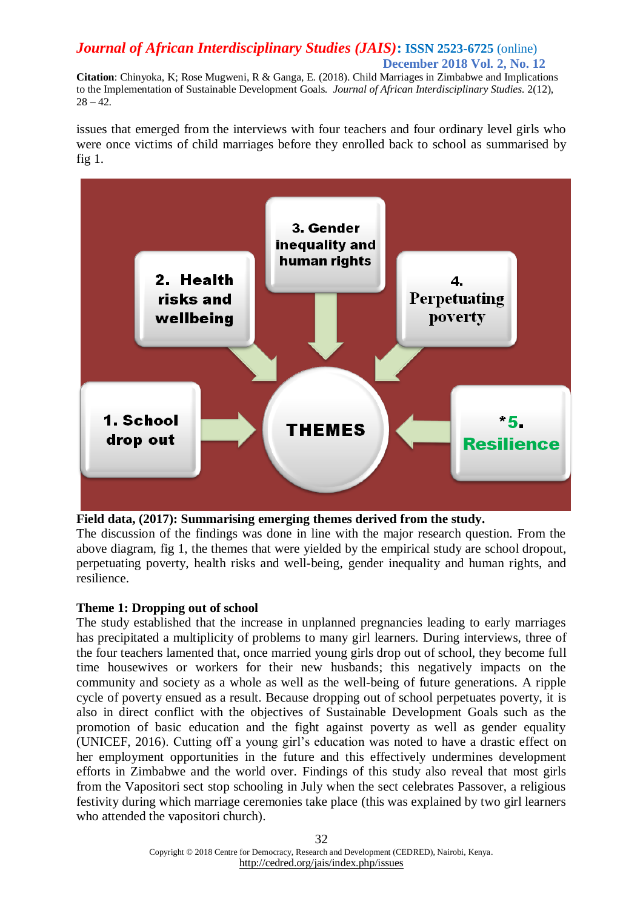**Citation**: Chinyoka, K; Rose Mugweni, R & Ganga, E. (2018). Child Marriages in Zimbabwe and Implications to the Implementation of Sustainable Development Goals. *Journal of African Interdisciplinary Studies.* 2(12),  $28 - 42.$ 

issues that emerged from the interviews with four teachers and four ordinary level girls who were once victims of child marriages before they enrolled back to school as summarised by fig 1.



### **Field data, (2017): Summarising emerging themes derived from the study.**

The discussion of the findings was done in line with the major research question. From the above diagram, fig 1, the themes that were yielded by the empirical study are school dropout, perpetuating poverty, health risks and well-being, gender inequality and human rights, and resilience.

### **Theme 1: Dropping out of school**

The study established that the increase in unplanned pregnancies leading to early marriages has precipitated a multiplicity of problems to many girl learners. During interviews, three of the four teachers lamented that, once married young girls drop out of school, they become full time housewives or workers for their new husbands; this negatively impacts on the community and society as a whole as well as the well-being of future generations. A ripple cycle of poverty ensued as a result. Because dropping out of school perpetuates poverty, it is also in direct conflict with the objectives of Sustainable Development Goals such as the promotion of basic education and the fight against poverty as well as gender equality (UNICEF, 2016). Cutting off a young girl's education was noted to have a drastic effect on her employment opportunities in the future and this effectively undermines development efforts in Zimbabwe and the world over. Findings of this study also reveal that most girls from the Vapositori sect stop schooling in July when the sect celebrates Passover, a religious festivity during which marriage ceremonies take place (this was explained by two girl learners who attended the vapositori church).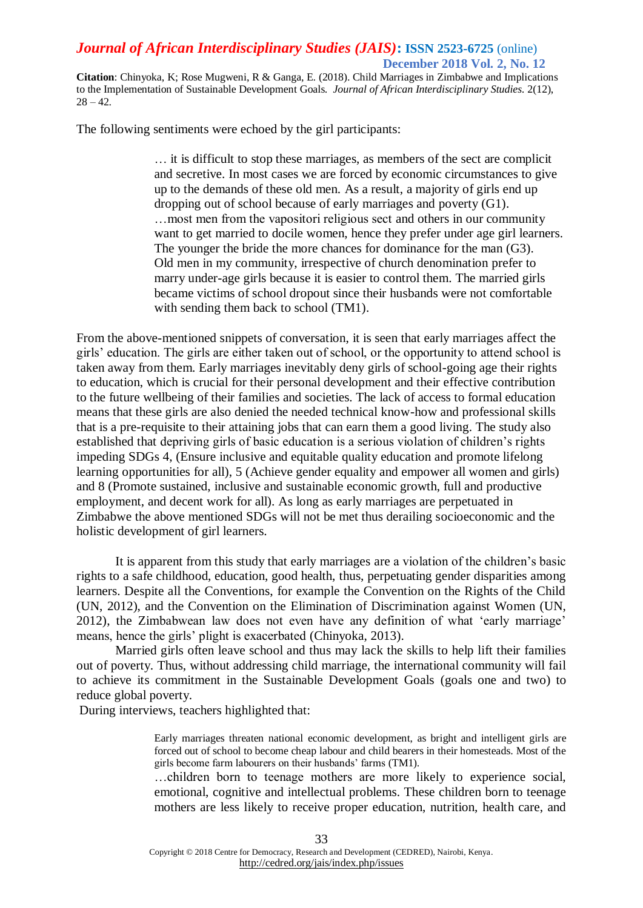**Citation**: Chinyoka, K; Rose Mugweni, R & Ganga, E. (2018). Child Marriages in Zimbabwe and Implications to the Implementation of Sustainable Development Goals. *Journal of African Interdisciplinary Studies.* 2(12),  $28 - 42.$ 

The following sentiments were echoed by the girl participants:

… it is difficult to stop these marriages, as members of the sect are complicit and secretive. In most cases we are forced by economic circumstances to give up to the demands of these old men. As a result, a majority of girls end up dropping out of school because of early marriages and poverty (G1). …most men from the vapositori religious sect and others in our community want to get married to docile women, hence they prefer under age girl learners. The younger the bride the more chances for dominance for the man (G3). Old men in my community, irrespective of church denomination prefer to marry under-age girls because it is easier to control them. The married girls became victims of school dropout since their husbands were not comfortable with sending them back to school (TM1).

From the above-mentioned snippets of conversation, it is seen that early marriages affect the girls' education. The girls are either taken out of school, or the opportunity to attend school is taken away from them. Early marriages inevitably deny girls of school-going age their rights to education, which is crucial for their personal development and their effective contribution to the future wellbeing of their families and societies. The lack of access to formal education means that these girls are also denied the needed technical know-how and professional skills that is a pre-requisite to their attaining jobs that can earn them a good living. The study also established that depriving girls of basic education is a serious violation of children's rights impeding SDGs 4, (Ensure inclusive and equitable quality education and promote lifelong learning opportunities for all), 5 (Achieve gender equality and empower all women and girls) and 8 (Promote sustained, inclusive and sustainable economic growth, full and productive employment, and decent work for all). As long as early marriages are perpetuated in Zimbabwe the above mentioned SDGs will not be met thus derailing socioeconomic and the holistic development of girl learners.

It is apparent from this study that early marriages are a violation of the children's basic rights to a safe childhood, education, good health, thus, perpetuating gender disparities among learners. Despite all the Conventions, for example the Convention on the Rights of the Child (UN, 2012), and the Convention on the Elimination of Discrimination against Women (UN, 2012), the Zimbabwean law does not even have any definition of what 'early marriage' means, hence the girls' plight is exacerbated (Chinyoka, 2013).

Married girls often leave school and thus may lack the skills to help lift their families out of poverty. Thus, without addressing child marriage, the international community will fail to achieve its commitment in the Sustainable Development Goals (goals one and two) to reduce global poverty.

During interviews, teachers highlighted that:

Early marriages threaten national economic development, as bright and intelligent girls are forced out of school to become cheap labour and child bearers in their homesteads. Most of the girls become farm labourers on their husbands' farms (TM1).

…children born to teenage mothers are more likely to experience social, emotional, cognitive and intellectual problems. These children born to teenage mothers are less likely to receive proper education, nutrition, health care, and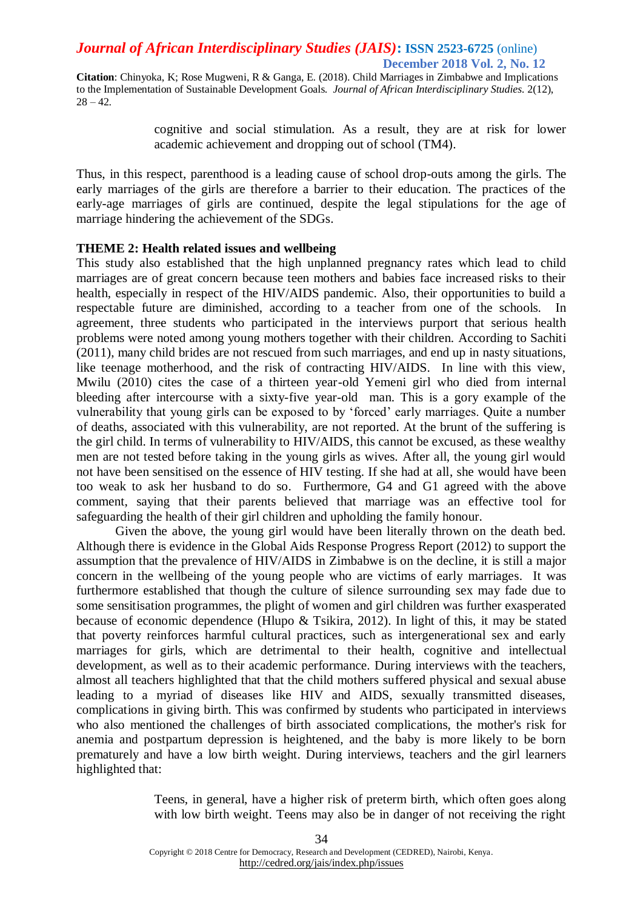**Citation**: Chinyoka, K; Rose Mugweni, R & Ganga, E. (2018). Child Marriages in Zimbabwe and Implications to the Implementation of Sustainable Development Goals. *Journal of African Interdisciplinary Studies.* 2(12),  $28 - 42.$ 

> cognitive and social stimulation. As a result, they are at risk for lower academic achievement and dropping out of school (TM4).

Thus, in this respect, parenthood is a leading cause of school drop-outs among the girls. The early marriages of the girls are therefore a barrier to their education. The practices of the early-age marriages of girls are continued, despite the legal stipulations for the age of marriage hindering the achievement of the SDGs.

### **THEME 2: Health related issues and wellbeing**

This study also established that the high unplanned pregnancy rates which lead to child marriages are of great concern because teen mothers and babies face increased risks to their health, especially in respect of the HIV/AIDS pandemic. Also, their opportunities to build a respectable future are diminished, according to a teacher from one of the schools. In agreement, three students who participated in the interviews purport that serious health problems were noted among young mothers together with their children. According to Sachiti (2011), many child brides are not rescued from such marriages, and end up in nasty situations, like teenage motherhood, and the risk of contracting HIV/AIDS. In line with this view, Mwilu (2010) cites the case of a thirteen year-old Yemeni girl who died from internal bleeding after intercourse with a sixty-five year-old man. This is a gory example of the vulnerability that young girls can be exposed to by 'forced' early marriages. Quite a number of deaths, associated with this vulnerability, are not reported. At the brunt of the suffering is the girl child. In terms of vulnerability to HIV/AIDS, this cannot be excused, as these wealthy men are not tested before taking in the young girls as wives. After all, the young girl would not have been sensitised on the essence of HIV testing. If she had at all, she would have been too weak to ask her husband to do so. Furthermore, G4 and G1 agreed with the above comment, saying that their parents believed that marriage was an effective tool for safeguarding the health of their girl children and upholding the family honour.

Given the above, the young girl would have been literally thrown on the death bed. Although there is evidence in the Global Aids Response Progress Report (2012) to support the assumption that the prevalence of HIV/AIDS in Zimbabwe is on the decline, it is still a major concern in the wellbeing of the young people who are victims of early marriages. It was furthermore established that though the culture of silence surrounding sex may fade due to some sensitisation programmes, the plight of women and girl children was further exasperated because of economic dependence (Hlupo & Tsikira, 2012). In light of this, it may be stated that poverty reinforces harmful cultural practices, such as intergenerational sex and early marriages for girls, which are detrimental to their health, cognitive and intellectual development, as well as to their academic performance. During interviews with the teachers, almost all teachers highlighted that that the child mothers suffered physical and sexual abuse leading to a myriad of diseases like HIV and AIDS, sexually transmitted diseases, complications in giving birth. This was confirmed by students who participated in interviews who also mentioned the challenges of birth associated complications, the mother's risk for anemia and postpartum depression is heightened, and the baby is more likely to be born prematurely and have a low birth weight. During interviews, teachers and the girl learners highlighted that:

> Teens, in general, have a higher risk of preterm birth, which often goes along with low birth weight. Teens may also be in danger of not receiving the right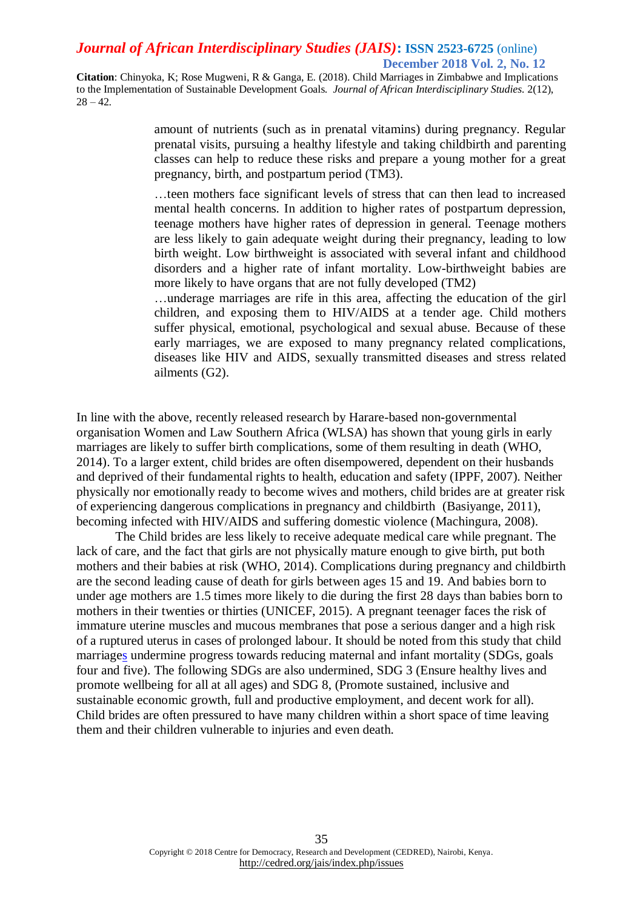**Citation**: Chinyoka, K; Rose Mugweni, R & Ganga, E. (2018). Child Marriages in Zimbabwe and Implications to the Implementation of Sustainable Development Goals. *Journal of African Interdisciplinary Studies.* 2(12),  $28 - 42.$ 

> amount of nutrients (such as in prenatal vitamins) during pregnancy. Regular prenatal visits, pursuing a healthy lifestyle and taking childbirth and parenting classes can help to reduce these risks and prepare a young mother for a great pregnancy, birth, and postpartum period (TM3).

> …teen mothers face significant levels of stress that can then lead to increased mental health concerns. In addition to higher rates of postpartum depression, teenage mothers have higher rates of depression in general. Teenage mothers are less likely to gain adequate weight during their pregnancy, leading to low birth weight. Low birthweight is associated with several infant and childhood disorders and a higher rate of infant mortality. Low-birthweight babies are more likely to have organs that are not fully developed (TM2)

> …underage marriages are rife in this area, affecting the education of the girl children, and exposing them to HIV/AIDS at a tender age. Child mothers suffer physical, emotional, psychological and sexual abuse. Because of these early marriages, we are exposed to many pregnancy related complications, diseases like HIV and AIDS, sexually transmitted diseases and stress related ailments (G2).

In line with the above, recently released research by Harare-based non-governmental organisation Women and Law Southern Africa (WLSA) has shown that young girls in early marriages are likely to suffer birth complications, some of them resulting in death (WHO, 2014). To a larger extent, child brides are often disempowered, dependent on their husbands and deprived of their fundamental rights to health, education and safety (IPPF, 2007). Neither physically nor emotionally ready to become wives and mothers, child brides are at greater risk of experiencing dangerous complications in pregnancy and childbirth (Basiyange, 2011), becoming infected with HIV/AIDS and suffering domestic violence (Machingura, 2008).

The Child brides are less likely to receive adequate medical care while pregnant. The lack of care, and the fact that girls are not physically mature enough to give birth, put both mothers and their babies at risk (WHO, 2014). Complications during pregnancy and childbirth are the second leading cause of death for girls between ages 15 and 19. And babies born to under age mothers are 1.5 times more likely to die during the first 28 days than babies born to mothers in their twenties or thirties (UNICEF, 2015). A pregnant teenager faces the risk of immature uterine muscles and mucous membranes that pose a serious danger and a high risk of a ruptured uterus in cases of prolonged labour. It should be noted from this study that child marriages undermine progress towards reducing maternal and infant mortality (SDGs, goals four and five). The following SDGs are also undermined, SDG 3 (Ensure healthy lives and promote wellbeing for all at all ages) and SDG 8, (Promote sustained, inclusive and sustainable economic growth, full and productive employment, and decent work for all). Child brides are often pressured to have many children within a short space of time leaving them and their children vulnerable to injuries and even death.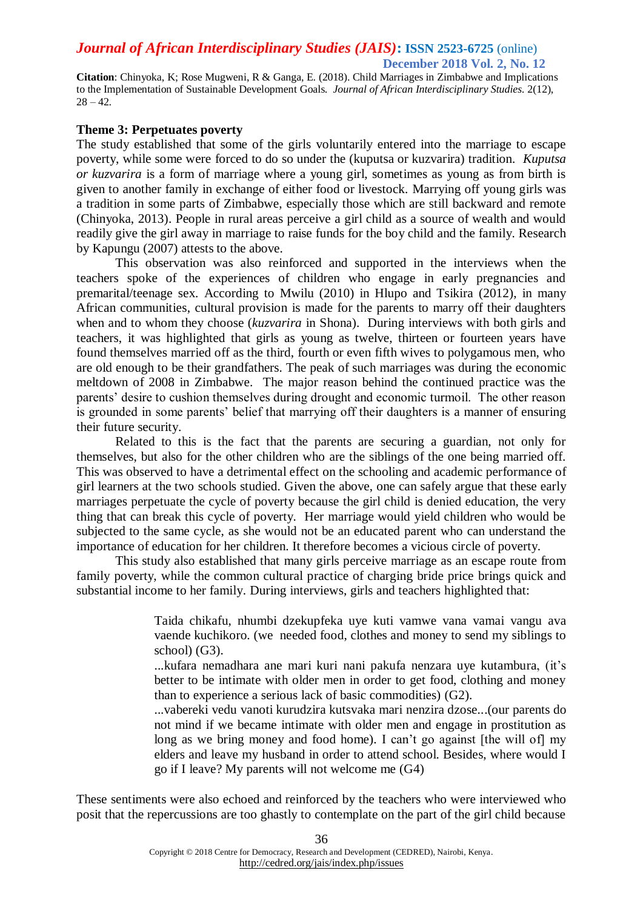**Citation**: Chinyoka, K; Rose Mugweni, R & Ganga, E. (2018). Child Marriages in Zimbabwe and Implications to the Implementation of Sustainable Development Goals. *Journal of African Interdisciplinary Studies.* 2(12),  $28 - 42.$ 

#### **Theme 3: Perpetuates poverty**

The study established that some of the girls voluntarily entered into the marriage to escape poverty, while some were forced to do so under the (kuputsa or kuzvarira) tradition*. Kuputsa or kuzvarira* is a form of marriage where a young girl, sometimes as young as from birth is given to another family in exchange of either food or livestock. Marrying off young girls was a tradition in some parts of Zimbabwe, especially those which are still backward and remote (Chinyoka, 2013). People in rural areas perceive a girl child as a source of wealth and would readily give the girl away in marriage to raise funds for the boy child and the family. Research by Kapungu (2007) attests to the above.

This observation was also reinforced and supported in the interviews when the teachers spoke of the experiences of children who engage in early pregnancies and premarital/teenage sex. According to Mwilu (2010) in Hlupo and Tsikira (2012), in many African communities, cultural provision is made for the parents to marry off their daughters when and to whom they choose (*kuzvarira* in Shona). During interviews with both girls and teachers, it was highlighted that girls as young as twelve, thirteen or fourteen years have found themselves married off as the third, fourth or even fifth wives to polygamous men, who are old enough to be their grandfathers. The peak of such marriages was during the economic meltdown of 2008 in Zimbabwe. The major reason behind the continued practice was the parents' desire to cushion themselves during drought and economic turmoil. The other reason is grounded in some parents' belief that marrying off their daughters is a manner of ensuring their future security.

Related to this is the fact that the parents are securing a guardian, not only for themselves, but also for the other children who are the siblings of the one being married off. This was observed to have a detrimental effect on the schooling and academic performance of girl learners at the two schools studied. Given the above, one can safely argue that these early marriages perpetuate the cycle of poverty because the girl child is denied education, the very thing that can break this cycle of poverty. Her marriage would yield children who would be subjected to the same cycle, as she would not be an educated parent who can understand the importance of education for her children. It therefore becomes a vicious circle of poverty.

This study also established that many girls perceive marriage as an escape route from family poverty, while the common cultural practice of charging bride price brings quick and substantial income to her family. During interviews, girls and teachers highlighted that:

> Taida chikafu, nhumbi dzekupfeka uye kuti vamwe vana vamai vangu ava vaende kuchikoro. (we needed food, clothes and money to send my siblings to school) (G3).

> ...kufara nemadhara ane mari kuri nani pakufa nenzara uye kutambura, (it's better to be intimate with older men in order to get food, clothing and money than to experience a serious lack of basic commodities) (G2).

> ...vabereki vedu vanoti kurudzira kutsvaka mari nenzira dzose...(our parents do not mind if we became intimate with older men and engage in prostitution as long as we bring money and food home). I can't go against [the will of] my elders and leave my husband in order to attend school. Besides, where would I go if I leave? My parents will not welcome me (G4)

These sentiments were also echoed and reinforced by the teachers who were interviewed who posit that the repercussions are too ghastly to contemplate on the part of the girl child because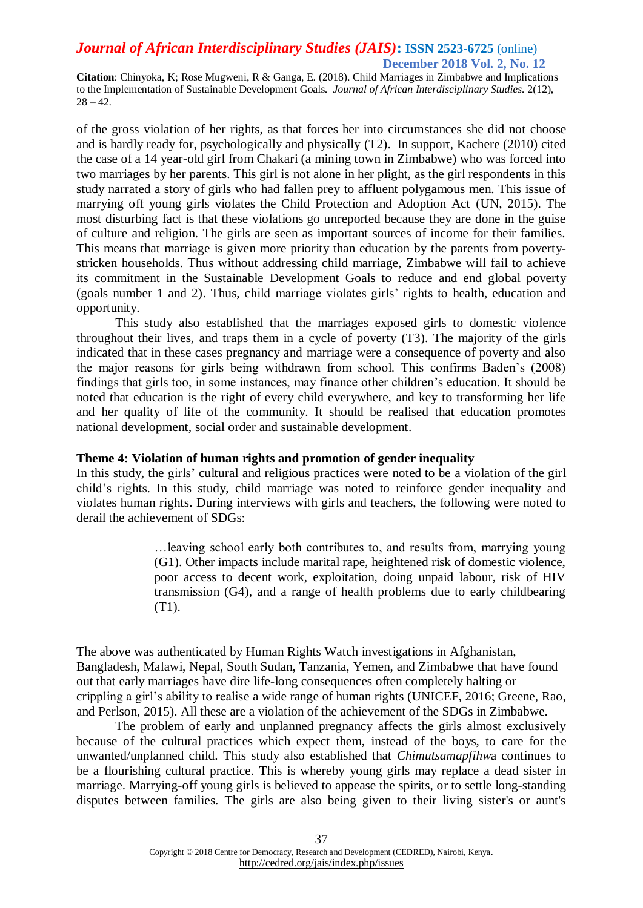**Citation**: Chinyoka, K; Rose Mugweni, R & Ganga, E. (2018). Child Marriages in Zimbabwe and Implications to the Implementation of Sustainable Development Goals. *Journal of African Interdisciplinary Studies.* 2(12),  $28 - 42.$ 

of the gross violation of her rights, as that forces her into circumstances she did not choose and is hardly ready for, psychologically and physically (T2). In support, Kachere (2010) cited the case of a 14 year-old girl from Chakari (a mining town in Zimbabwe) who was forced into two marriages by her parents. This girl is not alone in her plight, as the girl respondents in this study narrated a story of girls who had fallen prey to affluent polygamous men. This issue of marrying off young girls violates the Child Protection and Adoption Act (UN, 2015). The most disturbing fact is that these violations go unreported because they are done in the guise of culture and religion. The girls are seen as important sources of income for their families. This means that marriage is given more priority than education by the parents from povertystricken households. Thus without addressing child marriage, Zimbabwe will fail to achieve its commitment in the Sustainable Development Goals to reduce and end global poverty (goals number 1 and 2). Thus, child marriage violates girls' rights to health, education and opportunity.

This study also established that the marriages exposed girls to domestic violence throughout their lives, and traps them in a cycle of poverty (T3). The majority of the girls indicated that in these cases pregnancy and marriage were a consequence of poverty and also the major reasons for girls being withdrawn from school. This confirms Baden's (2008) findings that girls too, in some instances, may finance other children's education. It should be noted that education is the right of every child everywhere, and key to transforming her life and her quality of life of the community. It should be realised that education promotes national development, social order and sustainable development.

### **Theme 4: Violation of human rights and promotion of gender inequality**

In this study, the girls' cultural and religious practices were noted to be a violation of the girl child's rights. In this study, child marriage was noted to reinforce gender inequality and violates human rights. During interviews with girls and teachers, the following were noted to derail the achievement of SDGs:

> …leaving school early both contributes to, and results from, marrying young (G1). Other impacts include marital rape, heightened risk of domestic violence, poor access to decent work, exploitation, doing unpaid labour, risk of HIV transmission (G4), and a range of health problems due to early childbearing (T1).

The above was authenticated by Human Rights Watch investigations in Afghanistan, Bangladesh, Malawi, Nepal, South Sudan, Tanzania, Yemen, and Zimbabwe that have found out that early marriages have dire life-long consequences often completely halting or crippling a girl's ability to realise a wide range of human rights (UNICEF, 2016; Greene, Rao, and Perlson, 2015). All these are a violation of the achievement of the SDGs in Zimbabwe.

The problem of early and unplanned pregnancy affects the girls almost exclusively because of the cultural practices which expect them, instead of the boys, to care for the unwanted/unplanned child. This study also established that *Chimutsamapfihw*a continues to be a flourishing cultural practice. This is whereby young girls may replace a dead sister in marriage. Marrying-off young girls is believed to appease the spirits, or to settle long-standing disputes between families. The girls are also being given to their living sister's or aunt's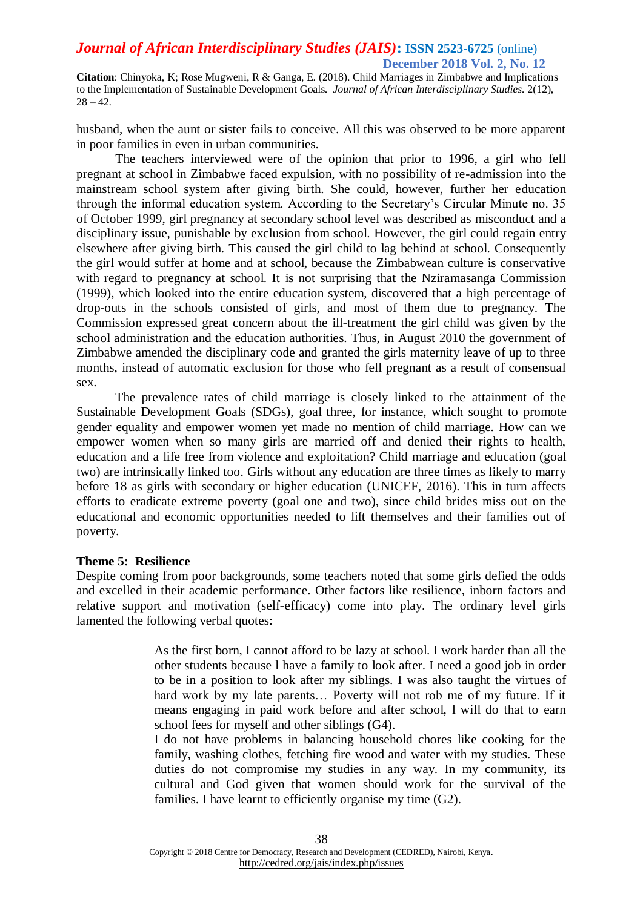**Citation**: Chinyoka, K; Rose Mugweni, R & Ganga, E. (2018). Child Marriages in Zimbabwe and Implications to the Implementation of Sustainable Development Goals. *Journal of African Interdisciplinary Studies.* 2(12),  $28 - 42.$ 

husband, when the aunt or sister fails to conceive. All this was observed to be more apparent in poor families in even in urban communities.

The teachers interviewed were of the opinion that prior to 1996, a girl who fell pregnant at school in Zimbabwe faced expulsion, with no possibility of re-admission into the mainstream school system after giving birth. She could, however, further her education through the informal education system. According to the Secretary's Circular Minute no. 35 of October 1999, girl pregnancy at secondary school level was described as misconduct and a disciplinary issue, punishable by exclusion from school. However, the girl could regain entry elsewhere after giving birth. This caused the girl child to lag behind at school. Consequently the girl would suffer at home and at school, because the Zimbabwean culture is conservative with regard to pregnancy at school. It is not surprising that the Nziramasanga Commission (1999), which looked into the entire education system, discovered that a high percentage of drop-outs in the schools consisted of girls, and most of them due to pregnancy. The Commission expressed great concern about the ill-treatment the girl child was given by the school administration and the education authorities. Thus, in August 2010 the government of Zimbabwe amended the disciplinary code and granted the girls maternity leave of up to three months, instead of automatic exclusion for those who fell pregnant as a result of consensual sex.

The prevalence rates of child marriage is closely linked to the attainment of the Sustainable Development Goals (SDGs), goal three, for instance, which sought to promote gender equality and empower women yet made no mention of child marriage. How can we empower women when so many girls are married off and denied their rights to health, education and a life free from violence and exploitation? Child marriage and education (goal two) are intrinsically linked too. Girls without any education are three times as likely to marry before 18 as girls with secondary or higher education (UNICEF, 2016). This in turn affects efforts to eradicate extreme poverty (goal one and two), since child brides miss out on the educational and economic opportunities needed to lift themselves and their families out of poverty.

#### **Theme 5: Resilience**

Despite coming from poor backgrounds, some teachers noted that some girls defied the odds and excelled in their academic performance. Other factors like resilience, inborn factors and relative support and motivation (self-efficacy) come into play. The ordinary level girls lamented the following verbal quotes:

> As the first born, I cannot afford to be lazy at school. I work harder than all the other students because l have a family to look after. I need a good job in order to be in a position to look after my siblings. I was also taught the virtues of hard work by my late parents… Poverty will not rob me of my future. If it means engaging in paid work before and after school, l will do that to earn school fees for myself and other siblings (G4).

> I do not have problems in balancing household chores like cooking for the family, washing clothes, fetching fire wood and water with my studies. These duties do not compromise my studies in any way. In my community, its cultural and God given that women should work for the survival of the families. I have learnt to efficiently organise my time (G2).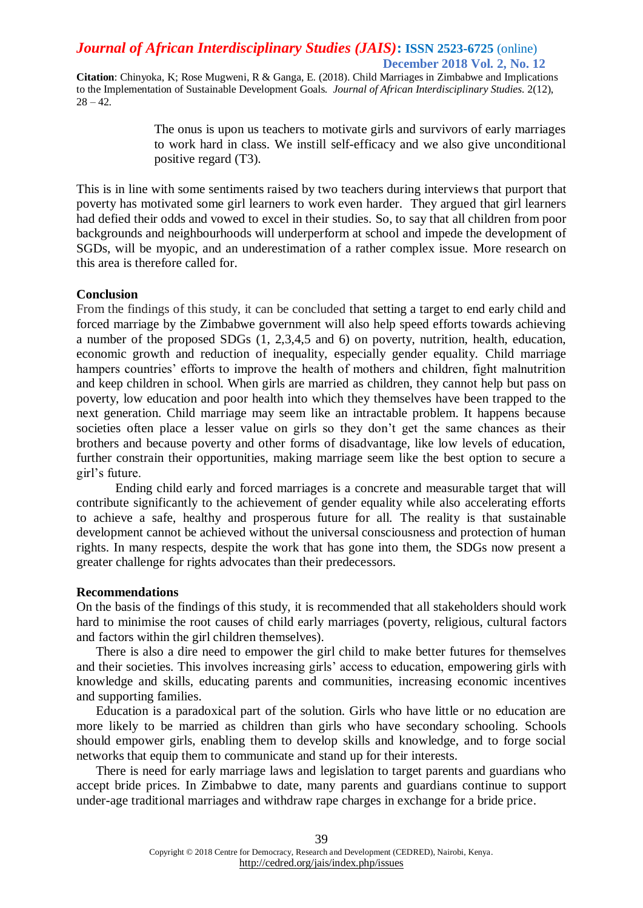**Citation**: Chinyoka, K; Rose Mugweni, R & Ganga, E. (2018). Child Marriages in Zimbabwe and Implications to the Implementation of Sustainable Development Goals. *Journal of African Interdisciplinary Studies.* 2(12),  $28 - 42.$ 

> The onus is upon us teachers to motivate girls and survivors of early marriages to work hard in class. We instill self-efficacy and we also give unconditional positive regard (T3).

This is in line with some sentiments raised by two teachers during interviews that purport that poverty has motivated some girl learners to work even harder. They argued that girl learners had defied their odds and vowed to excel in their studies. So, to say that all children from poor backgrounds and neighbourhoods will underperform at school and impede the development of SGDs, will be myopic, and an underestimation of a rather complex issue. More research on this area is therefore called for.

#### **Conclusion**

From the findings of this study, it can be concluded that setting a target to end early child and forced marriage by the Zimbabwe government will also help speed efforts towards achieving a number of the proposed SDGs (1, 2,3,4,5 and 6) on poverty, nutrition, health, education, economic growth and reduction of inequality, especially gender equality. Child marriage hampers countries' efforts to improve the health of mothers and children, fight malnutrition and keep children in school. When girls are married as children, they cannot help but pass on poverty, low education and poor health into which they themselves have been trapped to the next generation. Child marriage may seem like an intractable problem. It happens because societies often place a lesser value on girls so they don't get the same chances as their brothers and because poverty and other forms of disadvantage, like low levels of education, further constrain their opportunities, making marriage seem like the best option to secure a girl's future.

Ending child early and forced marriages is a concrete and measurable target that will contribute significantly to the achievement of gender equality while also accelerating efforts to achieve a safe, healthy and prosperous future for all. The reality is that sustainable development cannot be achieved without the universal consciousness and protection of human rights. In many respects, despite the work that has gone into them, the SDGs now present a greater challenge for rights advocates than their predecessors.

#### **Recommendations**

On the basis of the findings of this study, it is recommended that all stakeholders should work hard to minimise the root causes of child early marriages (poverty, religious, cultural factors and factors within the girl children themselves).

There is also a dire need to empower the girl child to make better futures for themselves and their societies. This involves increasing girls' access to education, empowering girls with knowledge and skills, educating parents and communities, increasing economic incentives and supporting families.

Education is a paradoxical part of the solution. Girls who have little or no education are more likely to be married as children than girls who have secondary schooling. Schools should empower girls, enabling them to develop skills and knowledge, and to forge social networks that equip them to communicate and stand up for their interests.

There is need for early marriage laws and legislation to target parents and guardians who accept bride prices. In Zimbabwe to date, many parents and guardians continue to support under-age traditional marriages and withdraw rape charges in exchange for a bride price.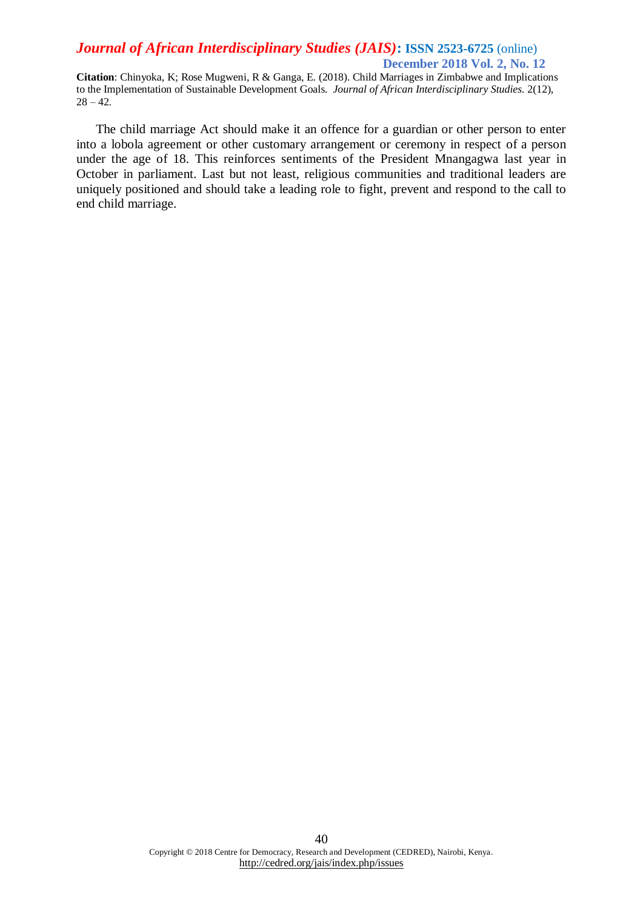**Citation**: Chinyoka, K; Rose Mugweni, R & Ganga, E. (2018). Child Marriages in Zimbabwe and Implications to the Implementation of Sustainable Development Goals. *Journal of African Interdisciplinary Studies.* 2(12),  $28 - 42.$ 

The child marriage Act should make it an offence for a guardian or other person to enter into a lobola agreement or other customary arrangement or ceremony in respect of a person under the age of 18. This reinforces sentiments of the President Mnangagwa last year in October in parliament. Last but not least, religious communities and traditional leaders are uniquely positioned and should take a leading role to fight, prevent and respond to the call to end child marriage.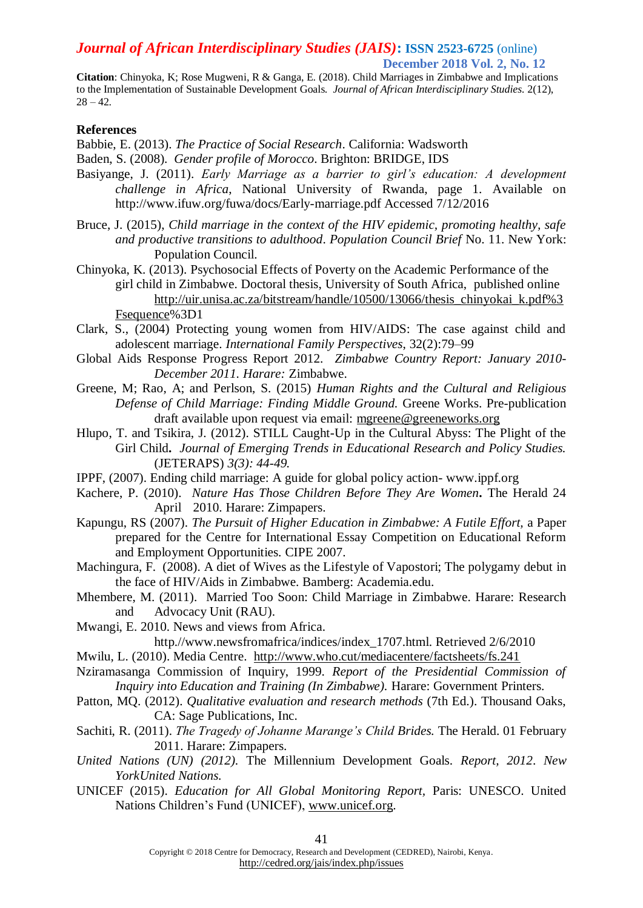# *Journal of African Interdisciplinary Studies (JAIS)***: ISSN 2523-6725** (online)

 **December 2018 Vol. 2, No. 12**

**Citation**: Chinyoka, K; Rose Mugweni, R & Ganga, E. (2018). Child Marriages in Zimbabwe and Implications to the Implementation of Sustainable Development Goals. *Journal of African Interdisciplinary Studies.* 2(12),  $28 - 42.$ 

#### **References**

Babbie, E. (2013). *The Practice of Social Research*. California: Wadsworth

- Baden, S. (2008). *Gender profile of Morocco*. Brighton: BRIDGE, IDS
- Basiyange, J. (2011). *Early Marriage as a barrier to girl's education: A development challenge in Africa*, National University of Rwanda, page 1. Available on http://www.ifuw.org/fuwa/docs/Early-marriage.pdf Accessed 7/12/2016
- Bruce, J. (2015), *Child marriage in the context of the HIV epidemic, promoting healthy, safe and productive transitions to adulthood*. *Population Council Brief* No. 11. New York: Population Council.
- Chinyoka, K. (2013). Psychosocial Effects of Poverty on the Academic Performance of the girl child in Zimbabwe. Doctoral thesis, University of South Africa, published online [http://uir.unisa.ac.za/bitstream/handle/10500/13066/thesis\\_chinyokai\\_k.pdf%3](http://uir.unisa.ac.za/bitstream/handle/10500/13066/thesis_chinyokai_k.pdf%3Fsequence) [Fsequence%](http://uir.unisa.ac.za/bitstream/handle/10500/13066/thesis_chinyokai_k.pdf%3Fsequence)3D1
- Clark, S., (2004) Protecting young women from HIV/AIDS: The case against child and adolescent marriage. *International Family Perspectives*, 32(2):79–99
- Global Aids Response Progress Report 2012*. Zimbabwe Country Report: January 2010- December 2011. Harare:* Zimbabwe.
- Greene, M; Rao, A; and Perlson, S. (2015) *Human Rights and the Cultural and Religious Defense of Child Marriage: Finding Middle Ground.* Greene Works. Pre-publication draft available upon request via email: [mgreene@greeneworks.org](mailto:mgreene@greeneworks.org)
- Hlupo, T. and Tsikira, J. (2012). STILL Caught-Up in the Cultural Abyss: The Plight of the Girl Child**.** *Journal of Emerging Trends in Educational Research and Policy Studies.*  (JETERAPS) *3(3): 44-49.*
- IPPF, (2007). Ending child marriage: A guide for global policy action- www.ippf.org
- Kachere, P. (2010). *Nature Has Those Children Before They Are Women***.** The Herald 24 April 2010. Harare: Zimpapers.
- Kapungu, RS (2007). *The Pursuit of Higher Education in Zimbabwe: A Futile Effort,* a Paper prepared for the Centre for International Essay Competition on Educational Reform and Employment Opportunities. CIPE 2007.
- Machingura, F. (2008). A diet of Wives as the Lifestyle of Vapostori; The polygamy debut in the face of HIV/Aids in Zimbabwe. Bamberg: Academia.edu.
- Mhembere, M. (2011). Married Too Soon: Child Marriage in Zimbabwe. Harare: Research and Advocacy Unit (RAU).

Mwangi, E. 2010. News and views from Africa.

http.//www.newsfromafrica/indices/index\_1707.html. Retrieved 2/6/2010

Mwilu, L. (2010). Media Centre. <http://www.who.cut/mediacentere/factsheets/fs.241>

- Nziramasanga Commission of Inquiry, 1999. *Report of the Presidential Commission of Inquiry into Education and Training (In Zimbabwe).* Harare: Government Printers.
- Patton, MQ. (2012). *Qualitative evaluation and research methods* (7th Ed.). Thousand Oaks, CA: Sage Publications, Inc.
- Sachiti, R. (2011). *The Tragedy of Johanne Marange's Child Brides.* The Herald. 01 February 2011. Harare: Zimpapers.
- *United Nations (UN) (2012).* The Millennium Development Goals. *Report, 2012*. *New YorkUnited Nations.*
- UNICEF (2015). *Education for All Global Monitoring Report,* Paris: UNESCO. United Nations Children's Fund (UNICEF), [www.unicef.org.](http://www.unicef.org/)